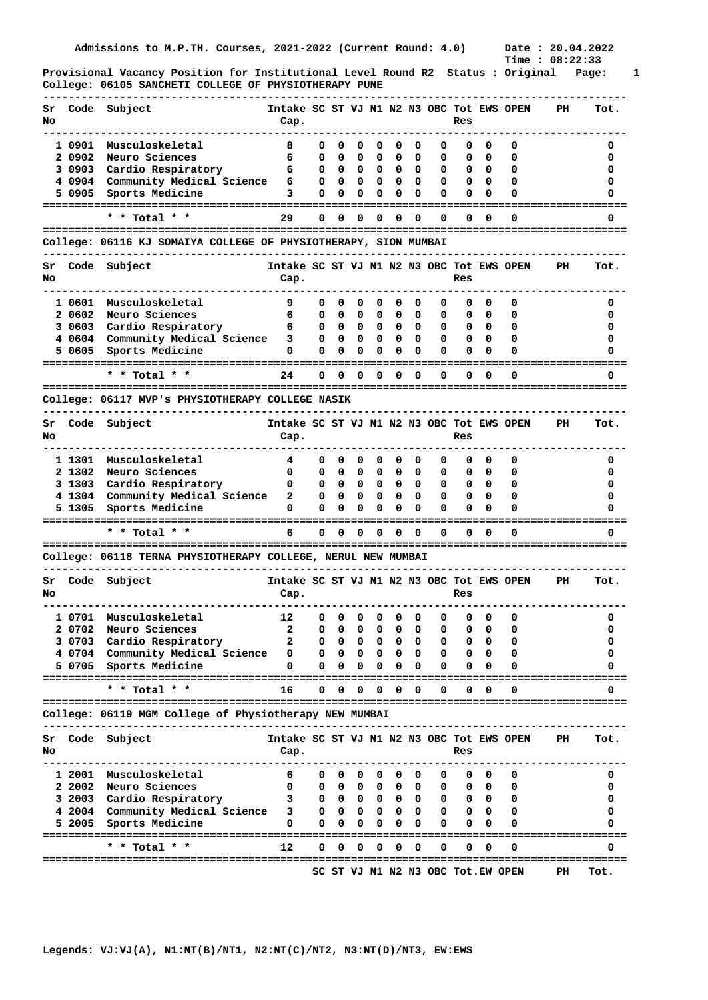**Provisional Vacancy Position for Institutional Level Round R2 Status : Original Page: 1 College: 06105 SANCHETI COLLEGE OF PHYSIOTHERAPY PUNE** 

| Sr<br>No |                  | Code Subject                                                                                | Intake SC ST VJ N1 N2 N3 OBC Tot EWS OPEN<br>Cap. |              |              |                                               |              |             |                         |        | Res          |                 |                                   | PH                                  | Tot.                                         |
|----------|------------------|---------------------------------------------------------------------------------------------|---------------------------------------------------|--------------|--------------|-----------------------------------------------|--------------|-------------|-------------------------|--------|--------------|-----------------|-----------------------------------|-------------------------------------|----------------------------------------------|
|          | 1 0901           | Musculoskeletal                                                                             | 8                                                 | 0            | 0            | 0                                             | 0            | 0           | 0                       | 0      | 0            | 0               | 0                                 |                                     | 0                                            |
|          | 2 0902           | Neuro Sciences                                                                              | 6                                                 | 0            | 0            | 0                                             | 0            | 0           | 0                       | 0      | 0            | 0               | 0                                 |                                     | O                                            |
|          | 3 0903           | Cardio Respiratory                                                                          | 6                                                 | 0            | 0            | 0                                             | 0            | 0           | 0                       | 0      | 0            | - 0             | 0                                 |                                     | o                                            |
|          | 4 0904           | Community Medical Science                                                                   | 6                                                 | 0            | 0            | 0                                             | 0            | 0           | 0                       | 0      | 0            | $\mathbf{0}$    | 0                                 |                                     |                                              |
|          | 5 0905           | Sports Medicine                                                                             | 3                                                 | 0            | 0            | 0                                             | 0            | 0           | 0                       | 0      | 0            | 0               | 0                                 |                                     | o                                            |
|          |                  |                                                                                             |                                                   |              |              |                                               |              |             |                         |        |              |                 |                                   |                                     |                                              |
|          |                  | * * Total *                                                                                 | 29                                                | 0            | 0            | 0                                             | 0            | O           | 0                       | 0      | 0            | 0               | O                                 |                                     | 0                                            |
|          |                  | College: 06116 KJ SOMAIYA COLLEGE OF PHYSIOTHERAPY, SION MUMBAI                             |                                                   |              |              |                                               |              |             |                         |        |              |                 |                                   |                                     |                                              |
| Sr       | Code             | Subject                                                                                     | Intake SC ST VJ N1 N2 N3 OBC Tot EWS OPEN         |              |              |                                               |              |             |                         |        |              |                 |                                   | PH                                  | Tot.                                         |
| No       |                  |                                                                                             | Cap.                                              |              |              |                                               |              |             |                         |        | Res          |                 |                                   |                                     |                                              |
|          |                  |                                                                                             |                                                   |              |              |                                               |              |             |                         |        |              |                 |                                   |                                     |                                              |
|          | 1 0601           | Musculoskeletal                                                                             | 9                                                 | 0            | 0            | 0                                             | 0            | 0           | 0                       | 0      | 0            | 0               | 0                                 |                                     | 0                                            |
|          | 2 0602           | Neuro Sciences                                                                              | 6                                                 | 0            | 0            | 0                                             | 0            | 0           | 0                       | 0      | 0            | 0               | 0                                 |                                     | o                                            |
|          | 3 0603           | Cardio Respiratory                                                                          | 6                                                 | 0            | 0            | 0                                             | 0            | 0           | 0                       | 0      | 0            | - 0             | 0                                 |                                     | n                                            |
|          | 4 0604           | Community Medical Science                                                                   | 3                                                 | 0            | 0            | 0                                             | 0            | $\Omega$    | $\Omega$                | 0      | 0            | - 0             | 0                                 |                                     | o                                            |
|          | 5 0605           | Sports Medicine                                                                             | 0                                                 | 0            | 0            | 0                                             | 0            | 0           | 0                       | 0      | 0            | 0               | 0                                 |                                     |                                              |
|          |                  | * * Total * *                                                                               | 24                                                | 0            | 0            | 0                                             | 0            | 0           | $\Omega$                | 0      | 0            | 0               | 0                                 |                                     | 0                                            |
|          |                  |                                                                                             |                                                   |              |              |                                               |              |             |                         |        |              |                 | =======================           |                                     |                                              |
|          |                  | College: 06117 MVP's PHYSIOTHERAPY COLLEGE NASIK                                            |                                                   |              |              |                                               |              |             |                         |        |              |                 |                                   |                                     |                                              |
| Sr<br>No | Code             | Subject                                                                                     | Intake SC ST VJ N1 N2 N3 OBC Tot EWS OPEN<br>Cap. |              |              |                                               |              |             |                         |        | Res          |                 |                                   | PH                                  | Tot.                                         |
|          | 1 1301           |                                                                                             |                                                   |              | 0            |                                               |              |             |                         | 0      | 0            |                 |                                   |                                     |                                              |
|          | 2 1302           | Musculoskeletal<br>Neuro Sciences                                                           | 4<br>0                                            | 0<br>0       | 0            | 0                                             | 0<br>0       | 0<br>0      | 0                       | 0      |              | 0               | 0<br>0                            |                                     | 0<br>O                                       |
|          |                  |                                                                                             |                                                   |              |              | 0                                             |              |             | 0                       |        | 0            | - 0             |                                   |                                     |                                              |
|          | 3 1303           | Cardio Respiratory                                                                          | 0                                                 | 0            | 0<br>0       | 0                                             | 0<br>0       | 0<br>0      | 0<br>0                  | 0<br>0 | 0            | - 0<br>$\Omega$ | 0                                 |                                     |                                              |
|          | 4 1304<br>5 1305 | Community Medical Science                                                                   | 2<br>0                                            | 0<br>0       | 0            | 0<br>0                                        | 0            | 0           | $\Omega$                | 0      | 0<br>0       | $\Omega$        | 0<br>0                            |                                     | o                                            |
|          |                  | Sports Medicine                                                                             |                                                   |              |              |                                               |              |             |                         |        |              |                 |                                   |                                     |                                              |
|          |                  | * * Total * *<br>--------------------------------                                           | 6                                                 | 0            | 0            | 0<br>================                         | 0            | O           | $\Omega$                | 0      | 0            | 0               | 0<br>-------------------          |                                     | 0                                            |
|          |                  | College: 06118 TERNA PHYSIOTHERAPY COLLEGE, NERUL NEW MUMBAI                                |                                                   |              |              |                                               |              |             |                         |        |              |                 |                                   |                                     |                                              |
| Sr       |                  | Code Subject                                                                                | Intake SC ST VJ N1 N2 N3 OBC Tot EWS OPEN         |              |              |                                               |              |             |                         |        |              |                 |                                   | PH                                  | Tot.                                         |
| No       |                  |                                                                                             | Cap.                                              |              |              |                                               |              |             |                         |        | Res          |                 |                                   |                                     |                                              |
|          |                  |                                                                                             |                                                   |              |              |                                               |              |             |                         |        |              |                 |                                   |                                     |                                              |
|          | 1 0701           | Musculoskeletal                                                                             | 12                                                | 0            | $\mathbf{0}$ | $\overline{\mathbf{0}}$                       | $^{\circ}$   | $\mathbf 0$ | - 0                     | 0      | 0            | 0               | 0                                 |                                     | 0                                            |
|          | 2 0702           | Neuro Sciences                                                                              | 2                                                 | 0            | 0            | 0                                             | 0            | 0           | 0                       | 0      | 0            | 0               | 0                                 |                                     | 0                                            |
|          |                  | 3 0703 Cardio Respiratory                                                                   | $\mathbf{2}$                                      | 0            | 0            | $\mathbf{0}$                                  | 0            | 0           | 0                       | 0      | 0            | - 0             | 0                                 |                                     | O                                            |
|          |                  | 4 0704 Community Medical Science                                                            | 0                                                 | 0            | 0            | $\mathbf{0}$                                  | $\mathbf{0}$ | 0           | $\bullet$               | 0      | 0            | $\mathbf{0}$    | 0                                 |                                     | 0                                            |
|          |                  | 5 0705 Sports Medicine                                                                      | 0                                                 | 0            | 0            | 0                                             | 0            | 0           | 0                       | 0      | 0            | 0               | 0                                 |                                     | 0                                            |
|          |                  | * * Total * *                                                                               | 16                                                | $\mathbf{0}$ | $\mathbf{0}$ | $\mathbf{0}$                                  | 0            | 0           | 0                       | 0      | 0            | 0               | 0                                 |                                     | 0                                            |
|          |                  | College: 06119 MGM College of Physiotherapy NEW MUMBAI<br>--------------------------------- |                                                   |              |              |                                               |              |             |                         |        |              |                 |                                   | ----------------------------------- |                                              |
| Sr       | Code             | Subject                                                                                     | Intake SC ST VJ N1 N2 N3 OBC Tot EWS OPEN         |              |              |                                               |              |             |                         |        |              |                 |                                   | PH                                  | Tot.                                         |
| No       |                  |                                                                                             | Cap.                                              |              |              |                                               |              |             |                         |        | Res          |                 |                                   |                                     |                                              |
|          |                  | 1 2001 Musculoskeletal                                                                      | 6                                                 | 0            |              | $0\quad 0\quad 0$                             |              | 0           | 0                       | 0      |              | $0\quad 0$      | 0                                 |                                     | 0                                            |
|          |                  | 2 2002 Neuro Sciences                                                                       | 0                                                 | $\mathbf{0}$ |              | $0\quad 0\quad 0\quad$                        |              |             | $0\quad 0$              | 0      |              | $0\quad 0$      | 0                                 |                                     | 0                                            |
|          |                  | 3 2003 Cardio Respiratory                                                                   | 3                                                 |              |              | $0\quad 0\quad 0\quad 0\quad 0\quad 0\quad 0$ |              |             |                         |        | $\mathbf{0}$ | $0\quad 0$      | 0                                 |                                     | 0                                            |
|          |                  | 4 2004 Community Medical Science                                                            | 3                                                 | $\mathbf{0}$ | 0            | $\mathbf{0}$                                  | 0            | 0           | $\overline{\mathbf{0}}$ | 0      |              | $0\quad 0$      | 0                                 |                                     | 0                                            |
|          | 5 2005           | Sports Medicine                                                                             | 0                                                 | 0            | 0            | 0                                             | 0            | 0           | 0                       | 0      | 0            | 0               | 0                                 |                                     | 0                                            |
|          |                  |                                                                                             |                                                   |              |              |                                               |              |             |                         |        |              |                 |                                   |                                     |                                              |
|          |                  | * * Total * *                                                                               | 12                                                | 0            | 0            | 0                                             | 0            | 0           | $\Omega$                | 0      | 0            | $\Omega$        | 0                                 |                                     | 0                                            |
|          |                  |                                                                                             |                                                   |              |              |                                               |              |             |                         |        |              |                 | SC ST VJ N1 N2 N3 OBC Tot.EW OPEN | PH                                  | ====================================<br>Tot. |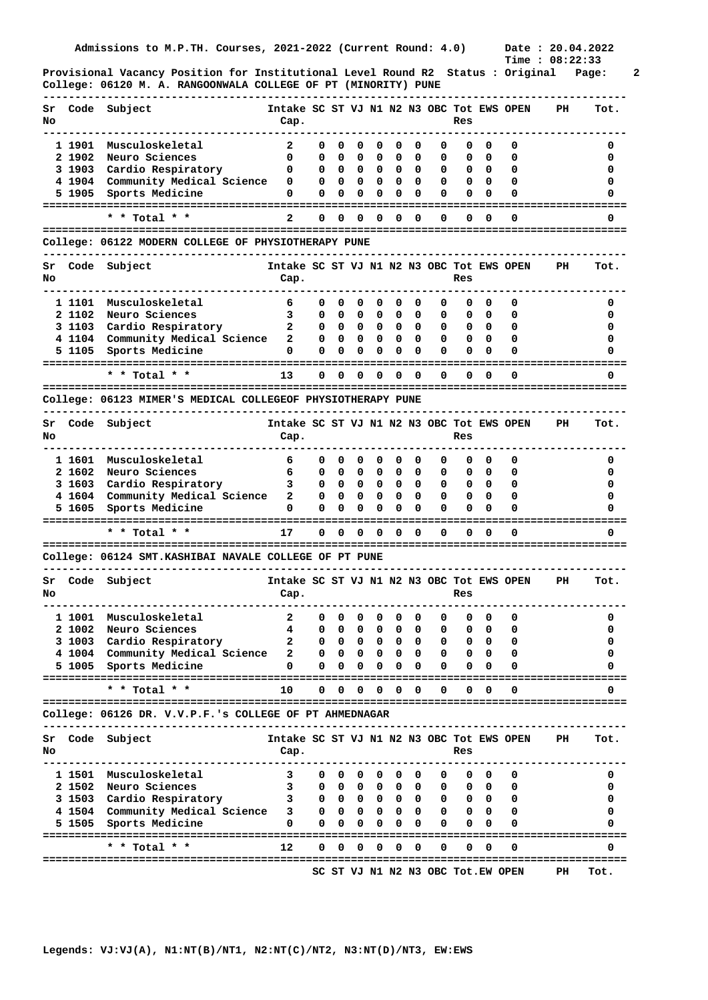**Provisional Vacancy Position for Institutional Level Round R2 Status : Original Page: 2 College: 06120 M. A. RANGOONWALA COLLEGE OF PT (MINORITY) PUNE** 

| Sr<br>No |                                                             | Code Subject                                           | Intake SC ST VJ N1 N2 N3 OBC Tot EWS OPEN<br>Cap. |              |              |                                 |        |          |            |                     | Res     |                          |                                   | PH. | Tot. |
|----------|-------------------------------------------------------------|--------------------------------------------------------|---------------------------------------------------|--------------|--------------|---------------------------------|--------|----------|------------|---------------------|---------|--------------------------|-----------------------------------|-----|------|
|          |                                                             |                                                        |                                                   |              |              |                                 |        |          |            |                     |         |                          |                                   |     |      |
|          | 1 1901                                                      | Musculoskeletal                                        | 2                                                 | 0            | 0            | 0                               | 0      | 0        | 0          | 0                   | 0       | 0                        | 0                                 |     | 0    |
|          | 2 1902                                                      | Neuro Sciences                                         | 0                                                 | 0            | 0            | 0                               | 0      | 0        | 0          | 0                   | 0       | 0                        | 0                                 |     | 0    |
|          | 3 1903                                                      | Cardio Respiratory                                     | 0                                                 | 0            | 0            | 0                               | 0      | 0        | 0          | 0                   | 0       | $\mathbf 0$              | 0                                 |     | 0    |
|          | 4 1904                                                      | Community Medical Science                              | 0                                                 | 0            | 0            | 0                               | 0      | 0        | 0          | 0                   | 0       | 0                        | 0                                 |     | 0    |
|          | 5 1905                                                      | Sports Medicine                                        | 0                                                 | $\Omega$     | 0            | 0                               | 0      | 0        | $\Omega$   | $\Omega$            | 0       | 0                        | 0                                 |     | Ω    |
|          |                                                             | * * Total * *                                          | 2                                                 | 0            | 0            | 0                               | 0      | 0        | 0          | ==============<br>0 | 0       | 0                        | 0                                 |     | 0    |
|          |                                                             | College: 06122 MODERN COLLEGE OF PHYSIOTHERAPY PUNE    |                                                   |              |              |                                 |        |          |            |                     |         |                          |                                   |     |      |
| Sr       | Code                                                        | Subject                                                | Intake SC ST VJ N1 N2 N3 OBC Tot EWS OPEN         |              |              |                                 |        |          |            |                     |         |                          |                                   | PH  | Tot. |
| No       |                                                             |                                                        | Cap.                                              |              |              |                                 |        |          |            |                     | Res     |                          |                                   |     |      |
|          |                                                             |                                                        |                                                   |              |              |                                 |        |          |            |                     |         |                          |                                   |     |      |
|          | 1 1101                                                      | Musculoskeletal                                        | 6                                                 | 0            | 0            | 0                               | 0      | 0        | 0          | 0                   | 0       | 0                        | 0                                 |     | 0    |
|          | 2 1102                                                      | Neuro Sciences                                         | 3                                                 | 0            | 0            | 0                               | 0      | 0        | 0          | 0                   | 0       | 0                        | 0                                 |     | 0    |
|          | 3 1103                                                      | Cardio Respiratory                                     | $\mathbf{2}$                                      | 0            | 0            | 0                               | 0      | 0        | 0          | 0                   | 0       | - 0                      | 0                                 |     | 0    |
|          | 4 1104                                                      | Community Medical Science                              | $\mathbf{2}$                                      | 0            | 0            | 0                               | 0      | 0        | 0          | 0                   | 0       | - 0                      | 0                                 |     | 0    |
|          | 5 1105                                                      | Sports Medicine                                        | 0                                                 | $\Omega$     | 0            | 0                               | 0      | 0        | $\Omega$   | $\Omega$            | 0       | 0                        | 0                                 |     | O    |
|          |                                                             |                                                        |                                                   |              |              |                                 |        |          |            |                     |         |                          |                                   |     |      |
|          |                                                             | * * Total * *                                          | 13                                                | 0            | 0            | 0                               | 0      | 0        | 0          | 0                   | 0       | 0                        | 0                                 |     | 0    |
|          | College: 06123 MIMER'S MEDICAL COLLEGEOF PHYSIOTHERAPY PUNE |                                                        |                                                   |              |              |                                 |        |          |            |                     |         |                          |                                   |     |      |
| Sr       | Code                                                        | Subject                                                | Intake SC ST VJ N1 N2 N3 OBC Tot EWS OPEN         |              |              |                                 |        |          |            |                     |         |                          |                                   | PH  | Tot. |
| No       |                                                             |                                                        | Cap.                                              |              |              |                                 |        |          |            |                     | Res     |                          |                                   |     |      |
|          | 1 1601                                                      | Musculoskeletal                                        | 6                                                 | 0            | 0            | 0                               | 0      | 0        | 0          | 0                   | 0       |                          |                                   |     |      |
|          |                                                             |                                                        |                                                   |              |              |                                 |        |          |            |                     |         | 0                        | 0                                 |     | 0    |
|          | 2 1602                                                      | Neuro Sciences                                         | 6                                                 | 0            | 0            | 0                               | 0      | 0        | 0          | 0                   | 0       | 0                        | 0                                 |     | O    |
|          | 3 1603                                                      | Cardio Respiratory                                     | 3                                                 | 0            | 0            | 0                               | 0      | 0        | 0          | 0                   | 0       | - 0                      | 0                                 |     | 0    |
|          | 4 1604                                                      | Community Medical Science                              | $\mathbf{2}$                                      | 0            | 0            | 0                               | 0      | $\Omega$ | 0          | 0                   | 0       | 0                        | 0                                 |     | Ω    |
|          | 5 1605                                                      | Sports Medicine                                        | 0                                                 | 0            | 0            | 0                               | 0      | 0        | 0          | 0                   | 0       | 0                        | O                                 |     |      |
|          |                                                             | * * Total * *                                          | 17                                                | 0            | 0            | 0                               | 0      | 0        | 0          | 0                   | 0       | 0                        | 0                                 |     | 0    |
|          |                                                             | College: 06124 SMT.KASHIBAI NAVALE COLLEGE OF PT PUNE  |                                                   |              |              |                                 |        |          |            |                     |         |                          |                                   |     |      |
|          |                                                             |                                                        | Intake SC ST VJ N1 N2 N3 OBC Tot EWS OPEN         |              |              |                                 |        |          |            |                     |         |                          |                                   |     |      |
| Sr       |                                                             | Code Subject                                           |                                                   |              |              |                                 |        |          |            |                     |         |                          |                                   | PH. | Tot. |
| No       |                                                             |                                                        | Cap.                                              |              |              |                                 |        |          |            |                     | Res     |                          |                                   |     |      |
|          |                                                             | 1 1001 Musculoskeletal                                 | $\mathbf{2}$                                      | 0            | 0            | 0                               | 0      | 0        | 0          | 0                   | 0       | 0                        | 0                                 |     | 0    |
|          |                                                             |                                                        |                                                   |              |              |                                 |        |          |            |                     |         |                          | 0                                 |     | 0    |
|          | 2 1002<br>3 1003                                            | Neuro Sciences<br>Cardio Respiratory                   | 4.<br>2                                           | 0<br>0       | 0<br>0       | 0<br>0                          | 0<br>0 | 0<br>0   | 0<br>0     | 0<br>0              | U.<br>0 | 0<br>0                   | 0                                 |     | 0    |
|          |                                                             | 4 1004 Community Medical Science                       | 2                                                 | $\mathbf{0}$ | 0            | $\mathbf{0}$                    | 0      | 0        | 0          | 0                   | 0       | $\overline{\phantom{a}}$ | 0                                 |     | 0    |
|          | 5 1005                                                      | Sports Medicine                                        | 0                                                 | 0            | 0            | 0                               | 0      | 0        | $\Omega$   | 0                   | 0       | 0                        |                                   |     | 0    |
|          |                                                             |                                                        |                                                   |              |              |                                 |        |          |            |                     |         |                          |                                   |     |      |
|          |                                                             | * * Total * *                                          | 10                                                | 0            | 0            | 0                               | 0      | 0        | 0          | 0                   | 0       | $\Omega$                 | 0                                 |     | 0    |
|          |                                                             | College: 06126 DR. V.V.P.F.'s COLLEGE OF PT AHMEDNAGAR |                                                   |              |              |                                 |        |          |            |                     |         |                          |                                   |     |      |
|          |                                                             |                                                        |                                                   |              |              |                                 |        |          |            |                     |         |                          |                                   |     |      |
| Sr<br>No | Code                                                        | Subject                                                | Intake SC ST VJ N1 N2 N3 OBC Tot EWS OPEN<br>Cap. |              |              |                                 |        |          |            |                     | Res     |                          |                                   | PH  | Tot. |
|          |                                                             |                                                        |                                                   |              |              |                                 |        |          |            |                     |         |                          |                                   |     |      |
|          | 1 1501                                                      | Musculoskeletal                                        | 3                                                 | 0            | 0            | 0                               | 0      | 0        | 0          | 0                   | 0       | $\mathbf{0}$             | 0                                 |     | 0    |
|          | 2 1502                                                      | Neuro Sciences                                         | 3                                                 | $\mathbf{0}$ |              | $0\quad 0\quad 0\quad$          |        |          | $0\quad 0$ | 0                   |         | $0\quad 0$               | 0                                 |     | 0    |
|          | 3 1503                                                      | Cardio Respiratory                                     | 3                                                 | $\mathbf{0}$ |              | $0\quad 0\quad 0\quad 0\quad 0$ |        |          |            | 0                   |         | $0\quad 0$               | 0                                 |     | 0    |
|          |                                                             | 4 1504 Community Medical Science                       | 3                                                 | $\mathbf{O}$ | $\mathbf{0}$ | $\mathbf{o}$                    | 0      | 0        | 0          | 0                   |         | $0\quad 0$               | 0                                 |     | 0    |
|          | 5 1505                                                      | Sports Medicine                                        | 0                                                 | 0            | 0            | 0                               | 0      | 0        | 0          | 0                   | 0       | 0                        | O                                 |     | 0    |
|          |                                                             |                                                        |                                                   |              |              |                                 |        |          |            |                     |         |                          |                                   |     |      |
|          |                                                             | * * Total * *                                          | 12                                                | 0            | 0            | 0                               | 0      | 0        | 0          | 0                   | 0       | 0                        | 0                                 |     | 0    |
|          |                                                             |                                                        |                                                   |              |              |                                 |        |          |            |                     |         |                          | SC ST VJ N1 N2 N3 OBC Tot.EW OPEN | PH  | Tot. |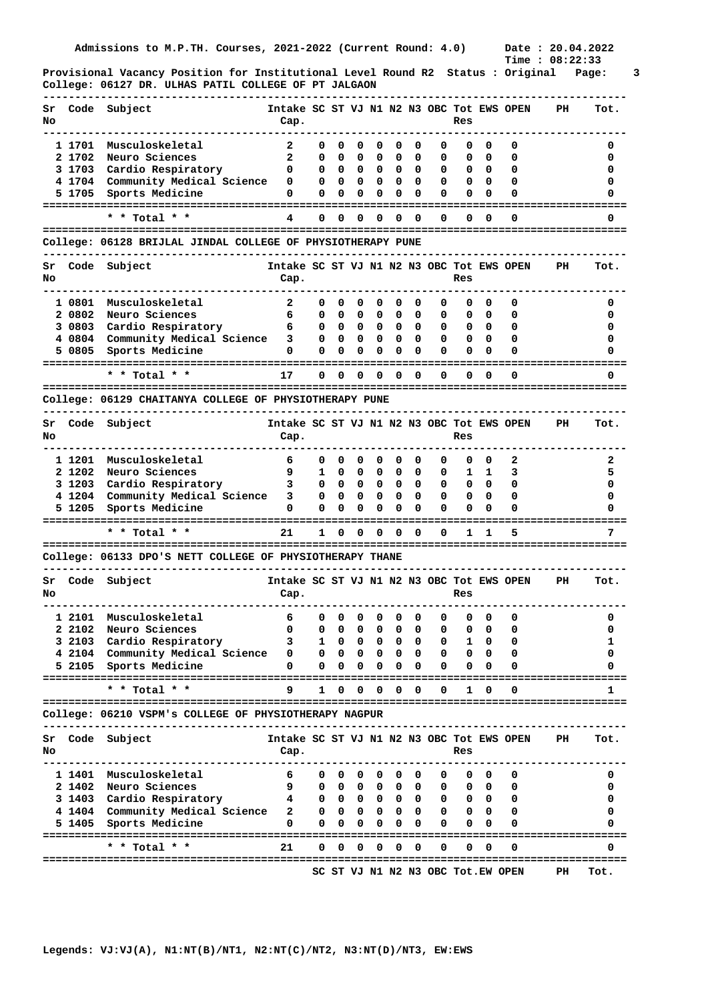**Provisional Vacancy Position for Institutional Level Round R2 Status : Original Page: 3 College: 06127 DR. ULHAS PATIL COLLEGE OF PT JALGAON** 

| Sr<br>No |                                                        | Code Subject                                                | Intake SC ST VJ N1 N2 N3 OBC Tot EWS OPEN<br>Cap. |                   |                   |                        |        |        |               |        | Res    |              |                                   | PH.                                  | Tot.   |
|----------|--------------------------------------------------------|-------------------------------------------------------------|---------------------------------------------------|-------------------|-------------------|------------------------|--------|--------|---------------|--------|--------|--------------|-----------------------------------|--------------------------------------|--------|
|          |                                                        |                                                             |                                                   |                   |                   |                        |        |        |               |        |        |              |                                   |                                      |        |
|          | 1 1701                                                 | Musculoskeletal                                             | 2                                                 | 0                 | 0                 | 0                      | 0      | 0      | 0             | 0      | 0      | 0            | 0                                 |                                      | 0      |
|          | 2 1702                                                 | Neuro Sciences                                              | $\mathbf{2}$                                      | 0                 | 0                 | 0                      | 0      | 0      | 0             | 0      | 0      | 0            | 0                                 |                                      | 0      |
|          | 3 1703                                                 | Cardio Respiratory                                          | 0                                                 | 0                 | 0                 | 0                      | 0      | 0      | 0             | 0      | 0      | $\mathbf{o}$ | 0                                 |                                      | 0      |
|          | 4 1704                                                 | Community Medical Science                                   | 0                                                 | 0                 | 0                 | 0                      | 0      | 0      | 0             | 0      | 0      | 0            | 0                                 |                                      | 0      |
|          | 5 1705                                                 | Sports Medicine                                             | 0                                                 | 0                 | 0                 | 0                      | 0      | 0      | $\Omega$      | 0      | 0      | 0            | 0                                 |                                      | Ω      |
|          |                                                        | * * Total * *                                               | 4                                                 | 0                 | 0                 | 0                      | 0      | 0      | $\Omega$      | 0      | 0      | 0            | 0                                 |                                      | 0      |
|          |                                                        | College: 06128 BRIJLAL JINDAL COLLEGE OF PHYSIOTHERAPY PUNE |                                                   |                   |                   |                        |        |        |               |        |        |              |                                   |                                      |        |
| Sr<br>No | Code                                                   | Subject                                                     | Intake SC ST VJ N1 N2 N3 OBC Tot EWS OPEN<br>Cap. |                   |                   |                        |        |        |               |        | Res    |              |                                   | PH                                   | Tot.   |
|          |                                                        |                                                             |                                                   |                   |                   |                        |        |        |               |        |        |              |                                   |                                      |        |
|          | 1 0801                                                 | Musculoskeletal                                             | $\mathbf{2}$                                      | 0                 | 0                 | 0                      | 0      | 0      | 0             | 0      | 0      | 0            | 0                                 |                                      | 0      |
|          | 2 0802                                                 | Neuro Sciences                                              | 6                                                 | 0                 | 0                 | 0                      | 0      | 0      | 0             | 0      | 0      | 0            | 0                                 |                                      | 0      |
|          | 3 0803                                                 | Cardio Respiratory                                          | 6                                                 | 0                 | 0                 | 0                      | 0      | 0      | 0             | 0      | 0      | - 0          | 0                                 |                                      | 0      |
|          | 4 0804                                                 | Community Medical Science                                   | 3                                                 | 0                 | 0                 | 0                      | 0      | 0      | 0             | 0      | 0      | - 0          | 0                                 |                                      | 0      |
|          | 5 0805                                                 | Sports Medicine                                             | 0                                                 | $\Omega$          | 0                 | 0                      | 0      | 0      | $\Omega$      | 0      | 0      | 0            | 0                                 |                                      | O      |
|          |                                                        | * * Total * *                                               | 17                                                | 0                 | 0                 | 0                      | 0      | 0      | 0             | 0      | 0      | 0            | 0                                 |                                      | 0      |
|          |                                                        |                                                             |                                                   |                   |                   |                        |        |        |               |        |        |              |                                   |                                      |        |
|          | College: 06129 CHAITANYA COLLEGE OF PHYSIOTHERAPY PUNE |                                                             |                                                   |                   |                   |                        |        |        |               |        |        |              |                                   |                                      |        |
| Sr<br>No | Code                                                   | Subject                                                     | Intake SC ST VJ N1 N2 N3 OBC Tot EWS OPEN<br>Cap. |                   |                   |                        |        |        |               |        | Res    |              |                                   | PH                                   | Tot.   |
|          | 1 1201                                                 | Musculoskeletal                                             | 6                                                 | 0                 | 0                 | 0                      | 0      | 0      | 0             | 0      | 0      | 0            | 2                                 |                                      | 2      |
|          | 2 1202                                                 | Neuro Sciences                                              | 9                                                 | 1                 | 0                 | 0                      | 0      | 0      | 0             | 0      | ı      | 1            | з                                 |                                      | 5      |
|          | 3 1203                                                 | Cardio Respiratory                                          | 3                                                 | 0                 | 0                 | 0                      | 0      | 0      | 0             | 0      | 0      | - 0          | 0                                 |                                      | 0      |
|          | 4 1204                                                 | Community Medical Science                                   | 3                                                 | 0                 | 0                 | 0                      | 0      | 0      | 0             | 0      | 0      | 0            | 0                                 |                                      | 0      |
|          | 5 1205                                                 | Sports Medicine                                             | 0                                                 | 0                 | 0                 | 0                      | 0      | 0      | 0             | 0      | 0      | 0            | O                                 |                                      |        |
|          |                                                        |                                                             |                                                   |                   |                   |                        |        |        |               |        |        |              |                                   |                                      |        |
|          |                                                        | * * Total * *                                               | 21                                                | 1                 | 0                 | 0                      | 0      | 0      | 0             | 0      | 1      | 1            | 5                                 | ------------------------------------ | 7      |
|          |                                                        | College: 06133 DPO'S NETT COLLEGE OF PHYSIOTHERAPY THANE    |                                                   |                   |                   |                        |        |        |               |        |        |              |                                   |                                      |        |
| Sr<br>No |                                                        | Code Subject                                                | Intake SC ST VJ N1 N2 N3 OBC Tot EWS OPEN<br>Cap. |                   |                   |                        |        |        |               |        | Res    |              |                                   | PH.                                  | Tot.   |
|          |                                                        |                                                             |                                                   |                   |                   |                        |        |        |               |        |        |              |                                   |                                      |        |
|          | 1 2101                                                 | Musculoskeletal                                             | 6                                                 | 0                 | 0                 | 0                      | 0      | 0      | 0             | 0      | 0      | 0            | 0                                 |                                      | 0      |
|          | 2 2102                                                 | Neuro Sciences                                              | 0                                                 | 0                 | 0                 | 0                      | 0      | 0      | 0             | 0      | 0      | 0            | 0                                 |                                      | 0      |
|          | 3 2103                                                 | Cardio Respiratory                                          | 3                                                 | 1                 | 0                 | 0                      | 0      | 0      | 0             | 0      | ı      | 0            | 0                                 |                                      | 1      |
|          | 5 2105                                                 | 4 2104 Community Medical Science<br>Sports Medicine         | 0<br>0                                            | $\mathbf{0}$<br>0 | $\mathbf{0}$<br>0 | $\mathbf{0}$<br>0      | 0<br>0 | 0<br>0 | 0<br>$\Omega$ | 0<br>0 | 0<br>0 | - 0<br>0     | 0<br>Ω                            |                                      | 0<br>0 |
|          |                                                        | * * Total * *                                               | 9                                                 | 1                 | 0                 | 0                      | 0      | 0      | 0             | 0      | 1      | 0            | 0                                 |                                      | 1      |
|          |                                                        |                                                             |                                                   |                   |                   |                        |        |        |               |        |        |              |                                   |                                      |        |
|          |                                                        | College: 06210 VSPM's COLLEGE OF PHYSIOTHERAPY NAGPUR       |                                                   |                   |                   |                        |        |        |               |        |        |              |                                   |                                      |        |
| Sr       | Code                                                   | Subject                                                     | Intake SC ST VJ N1 N2 N3 OBC Tot EWS OPEN         |                   |                   |                        |        |        |               |        |        |              |                                   | PH                                   | Tot.   |
| No       |                                                        |                                                             | Cap.                                              |                   |                   |                        |        |        |               |        | Res    |              |                                   |                                      |        |
|          |                                                        |                                                             |                                                   |                   |                   |                        |        |        |               |        |        |              |                                   |                                      |        |
|          | 1 1401                                                 | Musculoskeletal                                             | 6                                                 | 0                 | 0                 | 0                      | 0      | 0      | 0             | 0      | 0      | $\mathbf{0}$ | 0                                 |                                      | 0      |
|          | 2 1402                                                 | Neuro Sciences                                              | 9                                                 | 0                 |                   | $0\quad 0\quad 0\quad$ |        |        | $0\quad 0$    | 0      |        | $0\quad 0$   | 0                                 |                                      | 0      |
|          | 3 1403                                                 | Cardio Respiratory                                          | 4                                                 | 0                 |                   | $0\quad 0\quad 0$      |        |        | $0\quad 0$    | 0      |        | $0\quad 0$   | 0                                 |                                      | 0      |
|          |                                                        | 4 1404 Community Medical Science                            | 2                                                 | $\mathbf{o}$      | $\mathbf{0}$      | $\mathbf{o}$           | 0      | 0      | 0             | 0      |        | $0\quad 0$   | 0                                 |                                      | 0      |
|          | 5 1405                                                 | Sports Medicine                                             | 0                                                 | 0                 | 0                 | 0                      | 0      | 0      | 0             | 0      | 0      | 0            | O                                 |                                      | 0      |
|          |                                                        | * * Total * *                                               | 21                                                | 0                 | 0                 | 0                      | 0      | 0      | 0             | 0      | 0      | 0            | 0                                 |                                      | 0      |
|          |                                                        |                                                             |                                                   |                   |                   |                        |        |        |               |        |        |              |                                   |                                      |        |
|          |                                                        |                                                             |                                                   |                   |                   |                        |        |        |               |        |        |              | SC ST VJ N1 N2 N3 OBC Tot.EW OPEN | PH                                   | Tot.   |